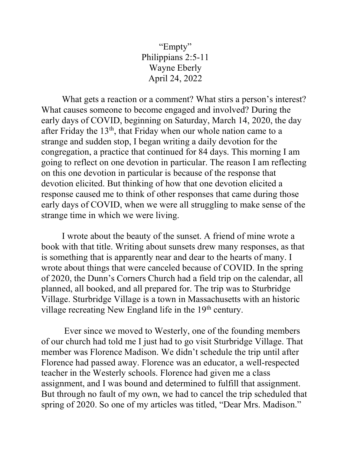"Empty" Philippians 2:5-11 Wayne Eberly April 24, 2022

 What gets a reaction or a comment? What stirs a person's interest? What causes someone to become engaged and involved? During the early days of COVID, beginning on Saturday, March 14, 2020, the day after Friday the  $13<sup>th</sup>$ , that Friday when our whole nation came to a strange and sudden stop, I began writing a daily devotion for the congregation, a practice that continued for 84 days. This morning I am going to reflect on one devotion in particular. The reason I am reflecting on this one devotion in particular is because of the response that devotion elicited. But thinking of how that one devotion elicited a response caused me to think of other responses that came during those early days of COVID, when we were all struggling to make sense of the strange time in which we were living.

 I wrote about the beauty of the sunset. A friend of mine wrote a book with that title. Writing about sunsets drew many responses, as that is something that is apparently near and dear to the hearts of many. I wrote about things that were canceled because of COVID. In the spring of 2020, the Dunn's Corners Church had a field trip on the calendar, all planned, all booked, and all prepared for. The trip was to Sturbridge Village. Sturbridge Village is a town in Massachusetts with an historic village recreating New England life in the  $19<sup>th</sup>$  century.

 Ever since we moved to Westerly, one of the founding members of our church had told me I just had to go visit Sturbridge Village. That member was Florence Madison. We didn't schedule the trip until after Florence had passed away. Florence was an educator, a well-respected teacher in the Westerly schools. Florence had given me a class assignment, and I was bound and determined to fulfill that assignment. But through no fault of my own, we had to cancel the trip scheduled that spring of 2020. So one of my articles was titled, "Dear Mrs. Madison."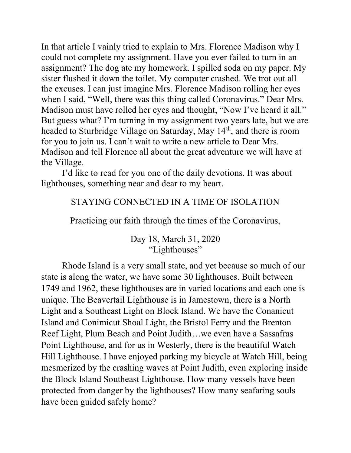In that article I vainly tried to explain to Mrs. Florence Madison why I could not complete my assignment. Have you ever failed to turn in an assignment? The dog ate my homework. I spilled soda on my paper. My sister flushed it down the toilet. My computer crashed. We trot out all the excuses. I can just imagine Mrs. Florence Madison rolling her eyes when I said, "Well, there was this thing called Coronavirus." Dear Mrs. Madison must have rolled her eyes and thought, "Now I've heard it all." But guess what? I'm turning in my assignment two years late, but we are headed to Sturbridge Village on Saturday, May 14<sup>th</sup>, and there is room for you to join us. I can't wait to write a new article to Dear Mrs. Madison and tell Florence all about the great adventure we will have at the Village.

 I'd like to read for you one of the daily devotions. It was about lighthouses, something near and dear to my heart.

## STAYING CONNECTED IN A TIME OF ISOLATION

Practicing our faith through the times of the Coronavirus,

Day 18, March 31, 2020 "Lighthouses"

 Rhode Island is a very small state, and yet because so much of our state is along the water, we have some 30 lighthouses. Built between 1749 and 1962, these lighthouses are in varied locations and each one is unique. The Beavertail Lighthouse is in Jamestown, there is a North Light and a Southeast Light on Block Island. We have the Conanicut Island and Conimicut Shoal Light, the Bristol Ferry and the Brenton Reef Light, Plum Beach and Point Judith…we even have a Sassafras Point Lighthouse, and for us in Westerly, there is the beautiful Watch Hill Lighthouse. I have enjoyed parking my bicycle at Watch Hill, being mesmerized by the crashing waves at Point Judith, even exploring inside the Block Island Southeast Lighthouse. How many vessels have been protected from danger by the lighthouses? How many seafaring souls have been guided safely home?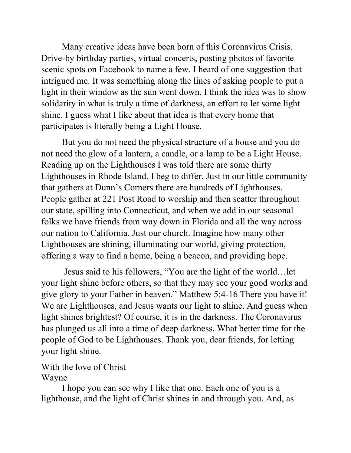Many creative ideas have been born of this Coronavirus Crisis. Drive-by birthday parties, virtual concerts, posting photos of favorite scenic spots on Facebook to name a few. I heard of one suggestion that intrigued me. It was something along the lines of asking people to put a light in their window as the sun went down. I think the idea was to show solidarity in what is truly a time of darkness, an effort to let some light shine. I guess what I like about that idea is that every home that participates is literally being a Light House.

 But you do not need the physical structure of a house and you do not need the glow of a lantern, a candle, or a lamp to be a Light House. Reading up on the Lighthouses I was told there are some thirty Lighthouses in Rhode Island. I beg to differ. Just in our little community that gathers at Dunn's Corners there are hundreds of Lighthouses. People gather at 221 Post Road to worship and then scatter throughout our state, spilling into Connecticut, and when we add in our seasonal folks we have friends from way down in Florida and all the way across our nation to California. Just our church. Imagine how many other Lighthouses are shining, illuminating our world, giving protection, offering a way to find a home, being a beacon, and providing hope.

 Jesus said to his followers, "You are the light of the world…let your light shine before others, so that they may see your good works and give glory to your Father in heaven." Matthew 5:4-16 There you have it! We are Lighthouses, and Jesus wants our light to shine. And guess when light shines brightest? Of course, it is in the darkness. The Coronavirus has plunged us all into a time of deep darkness. What better time for the people of God to be Lighthouses. Thank you, dear friends, for letting your light shine.

## With the love of Christ Wayne

 I hope you can see why I like that one. Each one of you is a lighthouse, and the light of Christ shines in and through you. And, as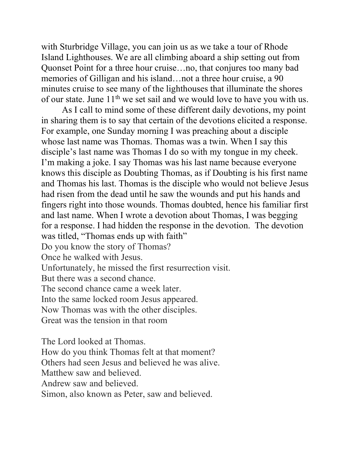with Sturbridge Village, you can join us as we take a tour of Rhode Island Lighthouses. We are all climbing aboard a ship setting out from Quonset Point for a three hour cruise…no, that conjures too many bad memories of Gilligan and his island…not a three hour cruise, a 90 minutes cruise to see many of the lighthouses that illuminate the shores of our state. June  $11<sup>th</sup>$  we set sail and we would love to have you with us.

 As I call to mind some of these different daily devotions, my point in sharing them is to say that certain of the devotions elicited a response. For example, one Sunday morning I was preaching about a disciple whose last name was Thomas. Thomas was a twin. When I say this disciple's last name was Thomas I do so with my tongue in my cheek. I'm making a joke. I say Thomas was his last name because everyone knows this disciple as Doubting Thomas, as if Doubting is his first name and Thomas his last. Thomas is the disciple who would not believe Jesus had risen from the dead until he saw the wounds and put his hands and fingers right into those wounds. Thomas doubted, hence his familiar first and last name. When I wrote a devotion about Thomas, I was begging for a response. I had hidden the response in the devotion. The devotion was titled, "Thomas ends up with faith"

Do you know the story of Thomas?

Once he walked with Jesus.

Unfortunately, he missed the first resurrection visit.

But there was a second chance.

The second chance came a week later.

Into the same locked room Jesus appeared.

Now Thomas was with the other disciples.

Great was the tension in that room

The Lord looked at Thomas.

How do you think Thomas felt at that moment?

Others had seen Jesus and believed he was alive.

Matthew saw and believed.

Andrew saw and believed.

Simon, also known as Peter, saw and believed.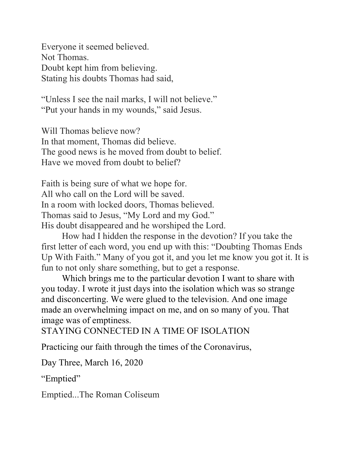Everyone it seemed believed. Not Thomas. Doubt kept him from believing. Stating his doubts Thomas had said,

"Unless I see the nail marks, I will not believe." "Put your hands in my wounds," said Jesus.

Will Thomas believe now? In that moment, Thomas did believe. The good news is he moved from doubt to belief. Have we moved from doubt to belief?

Faith is being sure of what we hope for. All who call on the Lord will be saved. In a room with locked doors, Thomas believed. Thomas said to Jesus, "My Lord and my God." His doubt disappeared and he worshiped the Lord.

 How had I hidden the response in the devotion? If you take the first letter of each word, you end up with this: "Doubting Thomas Ends Up With Faith." Many of you got it, and you let me know you got it. It is fun to not only share something, but to get a response.

 Which brings me to the particular devotion I want to share with you today. I wrote it just days into the isolation which was so strange and disconcerting. We were glued to the television. And one image made an overwhelming impact on me, and on so many of you. That image was of emptiness.

STAYING CONNECTED IN A TIME OF ISOLATION

Practicing our faith through the times of the Coronavirus,

Day Three, March 16, 2020

"Emptied"

Emptied...The Roman Coliseum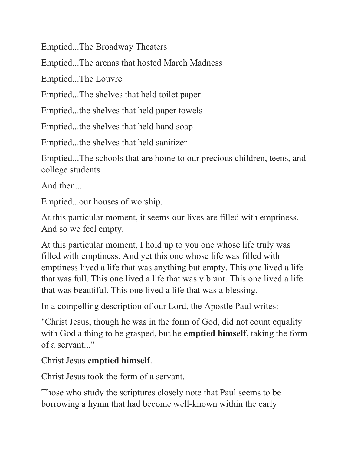Emptied...The Broadway Theaters

Emptied...The arenas that hosted March Madness

Emptied...The Louvre

Emptied...The shelves that held toilet paper

Emptied...the shelves that held paper towels

Emptied...the shelves that held hand soap

Emptied...the shelves that held sanitizer

Emptied...The schools that are home to our precious children, teens, and college students

And then...

Emptied...our houses of worship.

At this particular moment, it seems our lives are filled with emptiness. And so we feel empty.

At this particular moment, I hold up to you one whose life truly was filled with emptiness. And yet this one whose life was filled with emptiness lived a life that was anything but empty. This one lived a life that was full. This one lived a life that was vibrant. This one lived a life that was beautiful. This one lived a life that was a blessing.

In a compelling description of our Lord, the Apostle Paul writes:

"Christ Jesus, though he was in the form of God, did not count equality with God a thing to be grasped, but he **emptied himself**, taking the form of a servant..."

Christ Jesus emptied himself.

Christ Jesus took the form of a servant.

Those who study the scriptures closely note that Paul seems to be borrowing a hymn that had become well-known within the early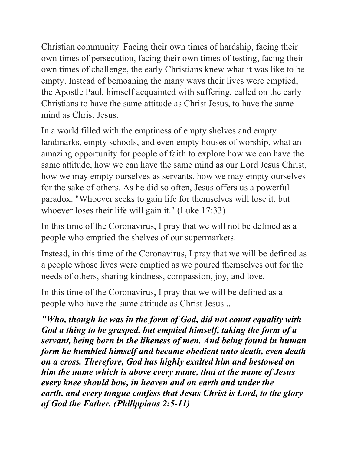Christian community. Facing their own times of hardship, facing their own times of persecution, facing their own times of testing, facing their own times of challenge, the early Christians knew what it was like to be empty. Instead of bemoaning the many ways their lives were emptied, the Apostle Paul, himself acquainted with suffering, called on the early Christians to have the same attitude as Christ Jesus, to have the same mind as Christ Jesus.

In a world filled with the emptiness of empty shelves and empty landmarks, empty schools, and even empty houses of worship, what an amazing opportunity for people of faith to explore how we can have the same attitude, how we can have the same mind as our Lord Jesus Christ, how we may empty ourselves as servants, how we may empty ourselves for the sake of others. As he did so often, Jesus offers us a powerful paradox. "Whoever seeks to gain life for themselves will lose it, but whoever loses their life will gain it." (Luke 17:33)

In this time of the Coronavirus, I pray that we will not be defined as a people who emptied the shelves of our supermarkets.

Instead, in this time of the Coronavirus, I pray that we will be defined as a people whose lives were emptied as we poured themselves out for the needs of others, sharing kindness, compassion, joy, and love.

In this time of the Coronavirus, I pray that we will be defined as a people who have the same attitude as Christ Jesus...

"Who, though he was in the form of God, did not count equality with God a thing to be grasped, but emptied himself, taking the form of a servant, being born in the likeness of men. And being found in human form he humbled himself and became obedient unto death, even death on a cross. Therefore, God has highly exalted him and bestowed on him the name which is above every name, that at the name of Jesus every knee should bow, in heaven and on earth and under the earth, and every tongue confess that Jesus Christ is Lord, to the glory of God the Father. (Philippians 2:5-11)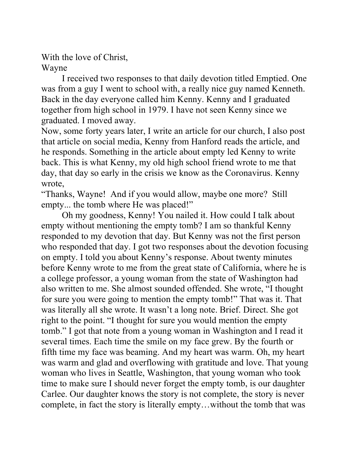With the love of Christ,

Wayne

 I received two responses to that daily devotion titled Emptied. One was from a guy I went to school with, a really nice guy named Kenneth. Back in the day everyone called him Kenny. Kenny and I graduated together from high school in 1979. I have not seen Kenny since we graduated. I moved away.

Now, some forty years later, I write an article for our church, I also post that article on social media, Kenny from Hanford reads the article, and he responds. Something in the article about empty led Kenny to write back. This is what Kenny, my old high school friend wrote to me that day, that day so early in the crisis we know as the Coronavirus. Kenny wrote,

"Thanks, Wayne! And if you would allow, maybe one more? Still empty... the tomb where He was placed!"

 Oh my goodness, Kenny! You nailed it. How could I talk about empty without mentioning the empty tomb? I am so thankful Kenny responded to my devotion that day. But Kenny was not the first person who responded that day. I got two responses about the devotion focusing on empty. I told you about Kenny's response. About twenty minutes before Kenny wrote to me from the great state of California, where he is a college professor, a young woman from the state of Washington had also written to me. She almost sounded offended. She wrote, "I thought for sure you were going to mention the empty tomb!" That was it. That was literally all she wrote. It wasn't a long note. Brief. Direct. She got right to the point. "I thought for sure you would mention the empty tomb." I got that note from a young woman in Washington and I read it several times. Each time the smile on my face grew. By the fourth or fifth time my face was beaming. And my heart was warm. Oh, my heart was warm and glad and overflowing with gratitude and love. That young woman who lives in Seattle, Washington, that young woman who took time to make sure I should never forget the empty tomb, is our daughter Carlee. Our daughter knows the story is not complete, the story is never complete, in fact the story is literally empty…without the tomb that was